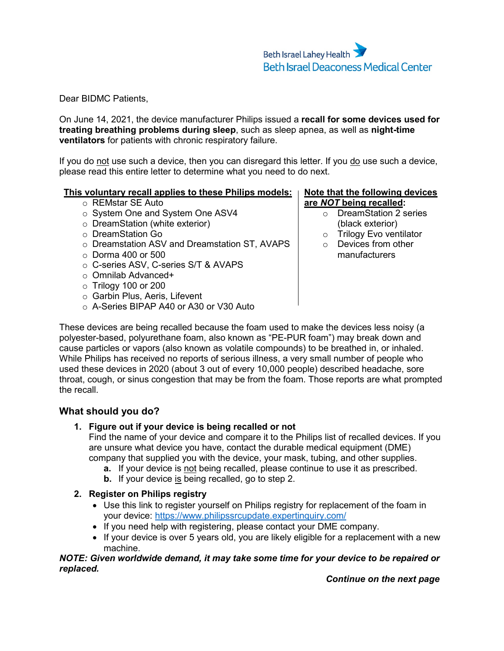Dear BIDMC Patients,

On June 14, 2021, the device manufacturer Philips issued a **recall for some devices used for treating breathing problems during sleep**, such as sleep apnea, as well as **night-time ventilators** for patients with chronic respiratory failure.

If you do not use such a device, then you can disregard this letter. If you do use such a device, please read this entire letter to determine what you need to do next.

# **This voluntary recall applies to these Philips models:**

- o REMstar SE Auto
- o System One and System One ASV4
- o DreamStation (white exterior)
- o DreamStation Go
- o Dreamstation ASV and Dreamstation ST, AVAPS
- $\circ$  Dorma 400 or 500
- o C-series ASV, C-series S/T & AVAPS
- o Omnilab Advanced+
- o Trilogy 100 or 200
- o Garbin Plus, Aeris, Lifevent
- o A-Series BIPAP A40 or A30 or V30 Auto

# **Note that the following devices are** *NOT* **being recalled:**

- o DreamStation 2 series (black exterior)
- o Trilogy Evo ventilator
- o Devices from other manufacturers

These devices are being recalled because the foam used to make the devices less noisy (a polyester-based, polyurethane foam, also known as "PE-PUR foam") may break down and cause particles or vapors (also known as volatile compounds) to be breathed in, or inhaled. While Philips has received no reports of serious illness, a very small number of people who used these devices in 2020 (about 3 out of every 10,000 people) described headache, sore throat, cough, or sinus congestion that may be from the foam. Those reports are what prompted the recall.

# **What should you do?**

# **1. Figure out if your device is being recalled or not**

Find the name of your device and compare it to the Philips list of recalled devices. If you are unsure what device you have, contact the durable medical equipment (DME) company that supplied you with the device, your mask, tubing, and other supplies.

- **a.** If your device is not being recalled, please continue to use it as prescribed.
- **b.** If your device is being recalled, go to step 2.

# **2. Register on Philips registry**

- Use this link to register yourself on Philips registry for replacement of the foam in your device: [https://www.philipssrcupdate.expertinquiry.com/](https://urldefense.com/v3/__https:/www.philipssrcupdate.expertinquiry.com/__;!!CvMGjuU!p1izHq1wONqRV1Zzj4t6pphAWmXn5Z68w2lOxnBRAM543NzfeM2IKCqfg6SbbD7-JKVypA$)
- If you need help with registering, please contact your DME company.
- If your device is over 5 years old, you are likely eligible for a replacement with a new machine.

#### *NOTE: Given worldwide demand, it may take some time for your device to be repaired or replaced.*

*Continue on the next page*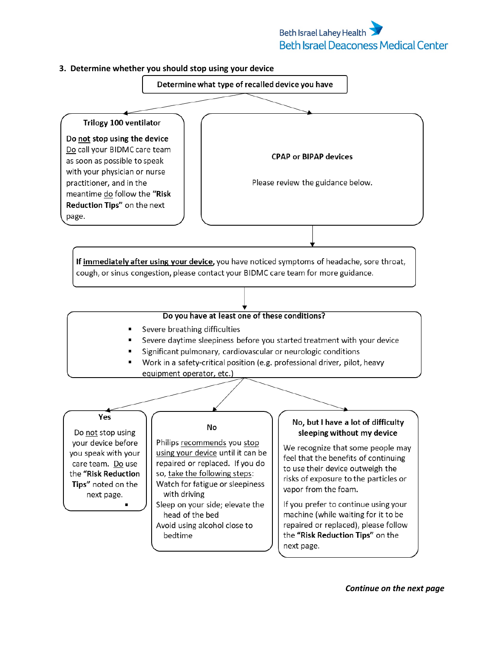# **Beth Israel Lahey Health Beth Israel Deaconess Medical Center**

#### **3. Determine whether you should stop using your device**



next page.